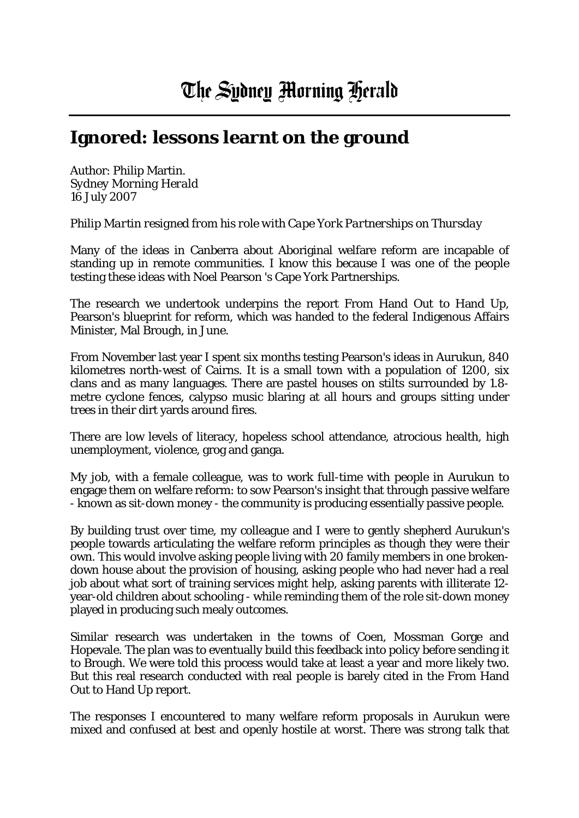## **Ignored: lessons learnt on the ground**

Author: Philip Martin. *Sydney Morning Herald*  16 July 2007

*Philip Martin resigned from his role with Cape York Partnerships on Thursday*

Many of the ideas in Canberra about Aboriginal welfare reform are incapable of standing up in remote communities. I know this because I was one of the people testing these ideas with Noel Pearson 's Cape York Partnerships.

The research we undertook underpins the report From Hand Out to Hand Up, Pearson's blueprint for reform, which was handed to the federal Indigenous Affairs Minister, Mal Brough, in June.

From November last year I spent six months testing Pearson's ideas in Aurukun, 840 kilometres north-west of Cairns. It is a small town with a population of 1200, six clans and as many languages. There are pastel houses on stilts surrounded by 1.8 metre cyclone fences, calypso music blaring at all hours and groups sitting under trees in their dirt yards around fires.

There are low levels of literacy, hopeless school attendance, atrocious health, high unemployment, violence, grog and ganga.

My job, with a female colleague, was to work full-time with people in Aurukun to engage them on welfare reform: to sow Pearson's insight that through passive welfare - known as sit-down money - the community is producing essentially passive people.

By building trust over time, my colleague and I were to gently shepherd Aurukun's people towards articulating the welfare reform principles as though they were their own. This would involve asking people living with 20 family members in one brokendown house about the provision of housing, asking people who had never had a real job about what sort of training services might help, asking parents with illiterate 12 year-old children about schooling - while reminding them of the role sit-down money played in producing such mealy outcomes.

Similar research was undertaken in the towns of Coen, Mossman Gorge and Hopevale. The plan was to eventually build this feedback into policy before sending it to Brough. We were told this process would take at least a year and more likely two. But this real research conducted with real people is barely cited in the From Hand Out to Hand Up report.

The responses I encountered to many welfare reform proposals in Aurukun were mixed and confused at best and openly hostile at worst. There was strong talk that